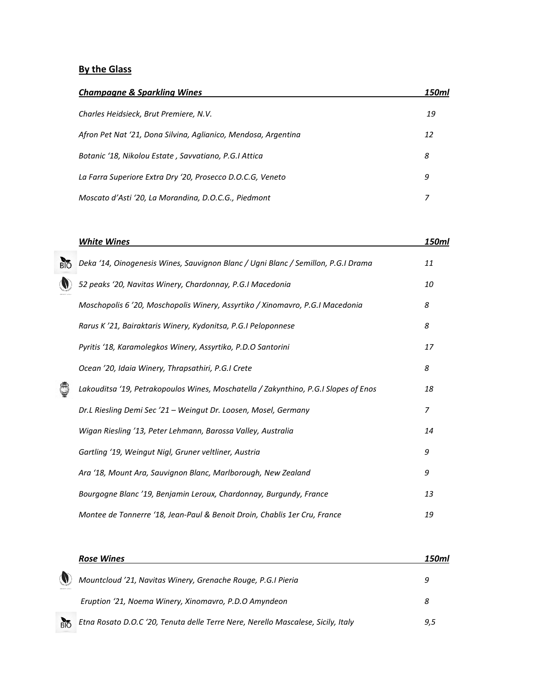# **By the Glass**

| <b>Champagne &amp; Sparkling Wines</b>                         | 150ml |
|----------------------------------------------------------------|-------|
| Charles Heidsieck, Brut Premiere, N.V.                         | 19    |
| Afron Pet Nat '21, Dona Silvina, Aglianico, Mendosa, Argentina | 12    |
| Botanic '18, Nikolou Estate, Savvatiano, P.G.I Attica          | 8     |
| La Farra Superiore Extra Dry '20, Prosecco D.O.C.G, Veneto     | 9     |
| Moscato d'Asti '20, La Morandina, D.O.C.G., Piedmont           |       |

|     | <b>White Wines</b>                                                                  | 150ml |
|-----|-------------------------------------------------------------------------------------|-------|
| BIO | Deka '14, Oinogenesis Wines, Sauvignon Blanc / Ugni Blanc / Semillon, P.G.I Drama   | 11    |
|     | 52 peaks '20, Navitas Winery, Chardonnay, P.G.I Macedonia                           | 10    |
|     | Moschopolis 6 '20, Moschopolis Winery, Assyrtiko / Xinomavro, P.G.I Macedonia       | 8     |
|     | Rarus K '21, Bairaktaris Winery, Kydonitsa, P.G.I Peloponnese                       | 8     |
|     | Pyritis '18, Karamolegkos Winery, Assyrtiko, P.D.O Santorini                        | 17    |
|     | Ocean '20, Idaia Winery, Thrapsathiri, P.G.I Crete                                  | 8     |
|     | Lakouditsa '19, Petrakopoulos Wines, Moschatella / Zakynthino, P.G.I Slopes of Enos | 18    |
|     | Dr.L Riesling Demi Sec '21 - Weingut Dr. Loosen, Mosel, Germany                     | 7     |
|     | Wigan Riesling '13, Peter Lehmann, Barossa Valley, Australia                        | 14    |
|     | Gartling '19, Weingut Nigl, Gruner veltliner, Austria                               | 9     |
|     | Ara '18, Mount Ara, Sauvignon Blanc, Marlborough, New Zealand                       | 9     |
|     | Bourgogne Blanc '19, Benjamin Leroux, Chardonnay, Burgundy, France                  | 13    |
|     | Montee de Tonnerre '18, Jean-Paul & Benoit Droin, Chablis 1er Cru, France           | 19    |

|           | <b>Rose Wines</b>                                                                | 150ml |
|-----------|----------------------------------------------------------------------------------|-------|
| V)        | Mountcloud '21, Navitas Winery, Grenache Rouge, P.G.I Pieria                     | g     |
|           | Eruption '21, Noema Winery, Xinomavro, P.D.O Amyndeon                            | 8     |
| ရဲ<br>ရက် | Etna Rosato D.O.C '20, Tenuta delle Terre Nere, Nerello Mascalese, Sicily, Italy | 9,5   |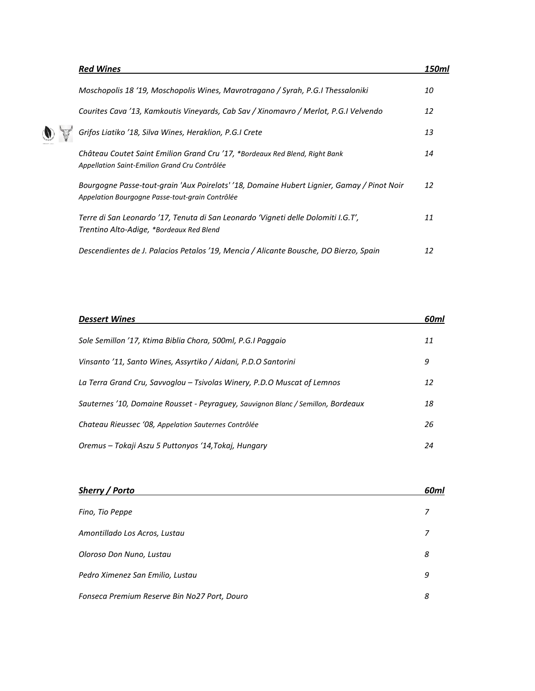| <b>Red Wines</b>                                                                                                                              | 150ml |
|-----------------------------------------------------------------------------------------------------------------------------------------------|-------|
| Moschopolis 18 '19, Moschopolis Wines, Mavrotragano / Syrah, P.G.I Thessaloniki                                                               | 10    |
| Courites Cava '13, Kamkoutis Vineyards, Cab Sav / Xinomavro / Merlot, P.G.I Velvendo                                                          | 12    |
| Grifos Liatiko '18, Silva Wines, Heraklion, P.G.I Crete                                                                                       | 13    |
| Château Coutet Saint Emilion Grand Cru '17, *Bordeaux Red Blend, Right Bank<br>Appellation Saint-Emilion Grand Cru Contrôlée                  | 14    |
| Bourgogne Passe-tout-grain 'Aux Poirelots' '18, Domaine Hubert Lignier, Gamay / Pinot Noir<br>Appelation Bourgogne Passe-tout-grain Contrôlée | 12    |
| Terre di San Leonardo '17, Tenuta di San Leonardo 'Vigneti delle Dolomiti I.G.T',<br>Trentino Alto-Adige, *Bordeaux Red Blend                 | 11    |
| Descendientes de J. Palacios Petalos '19, Mencia / Alicante Bousche, DO Bierzo, Spain                                                         | 12    |
|                                                                                                                                               |       |

| <b>Dessert Wines</b>                                                             | 60ml |
|----------------------------------------------------------------------------------|------|
| Sole Semillon '17, Ktima Biblia Chora, 500ml, P.G.I Paggaio                      | 11   |
| Vinsanto '11, Santo Wines, Assyrtiko / Aidani, P.D.O Santorini                   | 9    |
| La Terra Grand Cru, Savvoglou – Tsivolas Winery, P.D.O Muscat of Lemnos          | 12   |
| Sauternes '10, Domaine Rousset - Peyraguey, Sauvignon Blanc / Semillon, Bordeaux | 18   |
| Chateau Rieussec '08, Appelation Sauternes Contrôlée                             | 26   |
| Oremus – Tokaji Aszu 5 Puttonyos '14, Tokaj, Hungary                             | 24   |

| Sherry / Porto                               | 60ml |
|----------------------------------------------|------|
| Fino, Tio Peppe                              | 7    |
| Amontillado Los Acros, Lustau                | 7    |
| Oloroso Don Nuno, Lustau                     | 8    |
| Pedro Ximenez San Emilio, Lustau             | 9    |
| Fonseca Premium Reserve Bin No27 Port, Douro | 8    |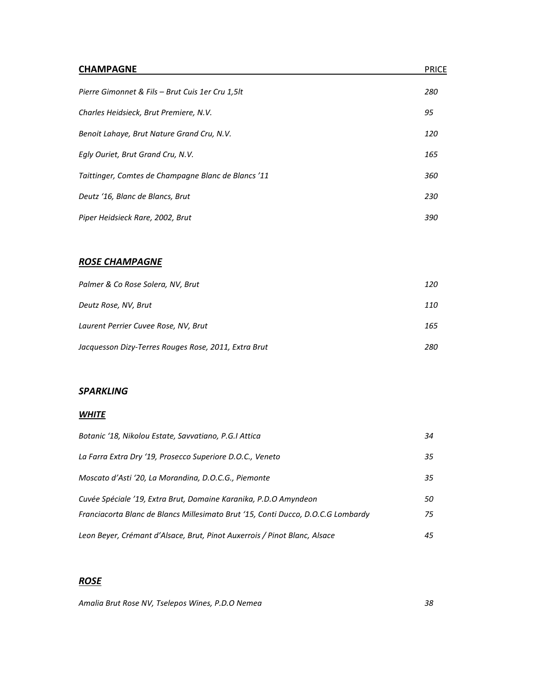## **CHAMPAGNE** PRICE

| Pierre Gimonnet & Fils - Brut Cuis 1er Cru 1,5lt    | 280 |
|-----------------------------------------------------|-----|
| Charles Heidsieck, Brut Premiere, N.V.              | 95  |
| Benoit Lahaye, Brut Nature Grand Cru, N.V.          | 120 |
| Egly Ouriet, Brut Grand Cru, N.V.                   | 165 |
| Taittinger, Comtes de Champagne Blanc de Blancs '11 | 360 |
| Deutz '16, Blanc de Blancs, Brut                    | 230 |
| Piper Heidsieck Rare, 2002, Brut                    | 390 |

## *ROSE CHAMPAGNE*

| Palmer & Co Rose Solera, NV, Brut                    | 120 |
|------------------------------------------------------|-----|
| Deutz Rose, NV, Brut                                 | 110 |
| Laurent Perrier Cuvee Rose, NV, Brut                 | 165 |
| Jacquesson Dizy-Terres Rouges Rose, 2011, Extra Brut | 280 |

### *SPARKLING*

## *WHITE*

| Botanic '18, Nikolou Estate, Savvatiano, P.G.I Attica                            | 34 |
|----------------------------------------------------------------------------------|----|
| La Farra Extra Dry '19, Prosecco Superiore D.O.C., Veneto                        | 35 |
| Moscato d'Asti '20, La Morandina, D.O.C.G., Piemonte                             | 35 |
| Cuvée Spéciale '19, Extra Brut, Domaine Karanika, P.D.O Amyndeon                 | 50 |
| Franciacorta Blanc de Blancs Millesimato Brut '15, Conti Ducco, D.O.C.G Lombardy | 75 |
| Leon Beyer, Crémant d'Alsace, Brut, Pinot Auxerrois / Pinot Blanc, Alsace        | 45 |

### *RΟSΕ*

*Amalia Brut Rose NV, Tselepos Wines, P.D.O Nemea 38*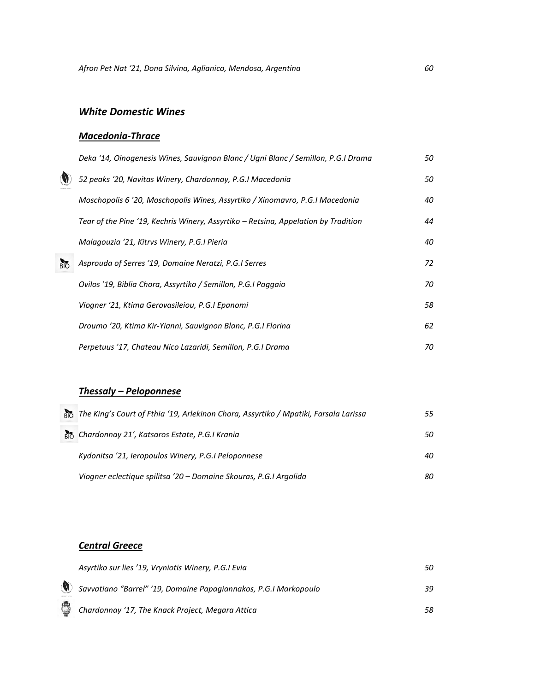## *White Domestic Wines*

## *Macedonia-Thrace*

| Deka '14, Oinogenesis Wines, Sauvignon Blanc / Ugni Blanc / Semillon, P.G.I Drama  | 50 |
|------------------------------------------------------------------------------------|----|
| 52 peaks '20, Navitas Winery, Chardonnay, P.G.I Macedonia                          | 50 |
| Moschopolis 6 '20, Moschopolis Wines, Assyrtiko / Xinomavro, P.G.I Macedonia       | 40 |
| Tear of the Pine '19, Kechris Winery, Assyrtiko – Retsina, Appelation by Tradition | 44 |
| Malagouzia '21, Kitrvs Winery, P.G.I Pieria                                        | 40 |
| Asprouda of Serres '19, Domaine Neratzi, P.G.I Serres                              | 72 |
| Ovilos '19, Biblia Chora, Assyrtiko / Semillon, P.G.I Paggaio                      | 70 |
| Viogner '21, Ktima Gerovasileiou, P.G.I Epanomi                                    | 58 |
| Droumo '20, Ktima Kir-Yianni, Sauvignon Blanc, P.G.I Florina                       | 62 |
| Perpetuus '17, Chateau Nico Lazaridi, Semillon, P.G.I Drama                        | 70 |

# *Thessaly – Peloponnese*

| $_{\rm BD}^{85}$ The King's Court of Fthia '19, Arlekinon Chora, Assyrtiko / Mpatiki, Farsala Larissa | 55 |
|-------------------------------------------------------------------------------------------------------|----|
| Blo Chardonnay 21', Katsaros Estate, P.G.I Krania                                                     | 50 |
| Kydonitsa '21, Ieropoulos Winery, P.G.I Peloponnese                                                   | 40 |
| Viogner eclectique spilitsa '20 – Domaine Skouras, P.G.I Argolida                                     | 80 |

# *Central Greece*

| Asyrtiko sur lies '19, Vryniotis Winery, P.G.I Evia              | 50. |
|------------------------------------------------------------------|-----|
| Savvatiano "Barrel" '19, Domaine Papagiannakos, P.G.I Markopoulo | 39. |
| Chardonnay '17, The Knack Project, Megara Attica                 | 58. |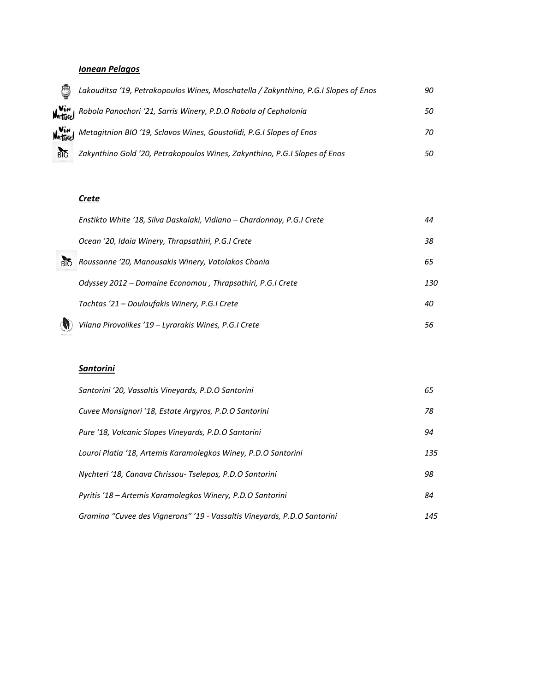## *Ionean Pelagos*

| C               | Lakouditsa '19, Petrakopoulos Wines, Moschatella / Zakynthino, P.G.I Slopes of Enos | 90  |
|-----------------|-------------------------------------------------------------------------------------|-----|
|                 | Note Robola Panochori '21, Sarris Winery, P.D.O Robola of Cephalonia                | 50. |
|                 | Motor Metagitnion BIO '19, Sclavos Wines, Goustolidi, P.G.I Slopes of Enos          | 70  |
| $B\overline{O}$ | Zakynthino Gold '20, Petrakopoulos Wines, Zakynthino, P.G.I Slopes of Enos          | 50  |

### *Crete*

|            | Enstikto White '18, Silva Daskalaki, Vidiano – Chardonnay, P.G.I Crete | 44  |
|------------|------------------------------------------------------------------------|-----|
|            | Ocean '20, Idaia Winery, Thrapsathiri, P.G.I Crete                     | 38  |
| <b>BIO</b> | Roussanne '20, Manousakis Winery, Vatolakos Chania                     | 65  |
|            | Odyssey 2012 – Domaine Economou, Thrapsathiri, P.G.I Crete             | 130 |
|            | Tachtas '21 – Douloufakis Winery, P.G.I Crete                          | 40  |
|            | Vilana Pirovolikes '19 - Lyrarakis Wines, P.G.I Crete                  | 56  |

## *Santorini*

| Santorini '20, Vassaltis Vineyards, P.D.O Santorini                      | 65  |
|--------------------------------------------------------------------------|-----|
| Cuvee Monsignori '18, Estate Argyros, P.D.O Santorini                    | 78  |
| Pure '18, Volcanic Slopes Vineyards, P.D.O Santorini                     | 94  |
| Louroi Platia '18, Artemis Karamolegkos Winey, P.D.O Santorini           | 135 |
| Nychteri '18, Canava Chrissou-Tselepos, P.D.O Santorini                  | 98  |
| Pyritis '18 – Artemis Karamolegkos Winery, P.D.O Santorini               | 84  |
| Gramina "Cuvee des Vignerons" '19 - Vassaltis Vineyards, P.D.O Santorini | 145 |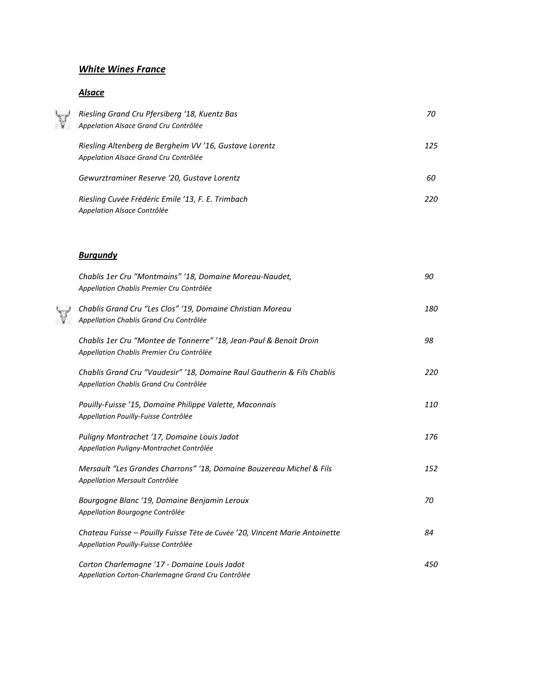## *White Wines France*

## *Alsace*

A

| Riesling Grand Cru Pfersiberg '18, Kuentz Bas<br>Appelation Alsace Grand Cru Contrôlée          | 70. |
|-------------------------------------------------------------------------------------------------|-----|
| Riesling Altenberg de Bergheim VV '16, Gustave Lorentz<br>Appelation Alsace Grand Cru Contrôlée | 125 |
| Gewurztraminer Reserve '20, Gustave Lorentz                                                     | 60  |
| Riesling Cuvée Frédéric Emile '13, F. E. Trimbach<br>Appelation Alsace Contrôlée                | 220 |

## *Burgundy*

| Chablis 1er Cru "Montmains" '18, Domaine Moreau-Naudet,<br>Appellation Chablis Premier Cru Contrôlée                | 90  |
|---------------------------------------------------------------------------------------------------------------------|-----|
| Chablis Grand Cru "Les Clos" '19, Domaine Christian Moreau<br>Appellation Chablis Grand Cru Contrôlée               | 180 |
| Chablis 1er Cru "Montee de Tonnerre" '18, Jean-Paul & Benoit Droin<br>Appellation Chablis Premier Cru Contrôlée     | 98  |
| Chablis Grand Cru "Vaudesir" '18, Domaine Raul Gautherin & Fils Chablis<br>Appellation Chablis Grand Cru Contrôlée  | 220 |
| Pouilly-Fuisse '15, Domaine Philippe Valette, Maconnais<br>Appellation Pouilly-Fuisse Contrôlée                     | 110 |
| Puligny Montrachet '17, Domaine Louis Jadot<br>Appellation Puliany-Montrachet Contrôlée                             | 176 |
| Mersault "Les Grandes Charrons" '18, Domaine Bouzereau Michel & Fils<br>Appellation Mersault Contrôlée              | 152 |
| Bourgogne Blanc '19, Domaine Benjamin Leroux<br>Appellation Bourgogne Contrôlée                                     | 70  |
| Chateau Fuisse – Pouilly Fuisse Téte de Cuvée '20, Vincent Marie Antoinette<br>Appellation Pouilly-Fuisse Contrôlée | 84  |
| Corton Charlemagne '17 - Domaine Louis Jadot<br>Appellation Corton-Charlemagne Grand Cru Contrôlée                  | 450 |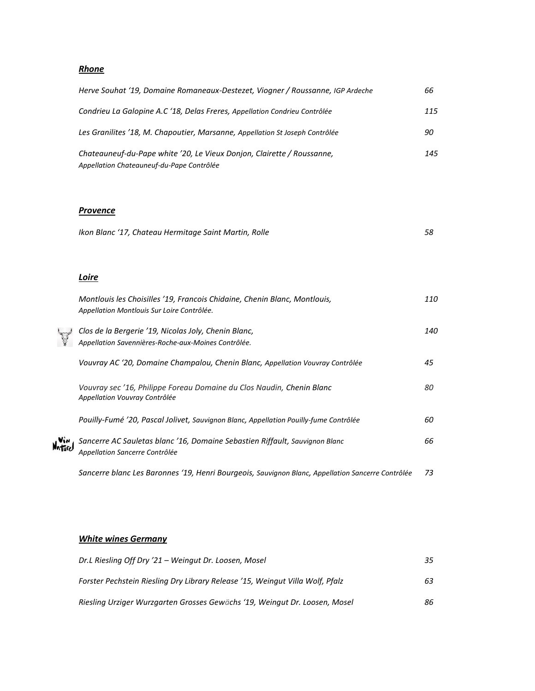## *Rhone*

| Herve Souhat '19, Domaine Romaneaux-Destezet, Viogner / Roussanne, IGP Ardeche                                          | 66  |
|-------------------------------------------------------------------------------------------------------------------------|-----|
| Condrieu La Galopine A.C '18, Delas Freres, Appellation Condrieu Contrôlée                                              | 115 |
| Les Granilites '18, M. Chapoutier, Marsanne, Appellation St Joseph Contrôlée                                            | 90  |
| Chateauneuf-du-Pape white '20, Le Vieux Donjon, Clairette / Roussanne,<br>Appellation Chateauneuf-du-Pape Contrôlée     | 145 |
| <b>Provence</b>                                                                                                         |     |
| Ikon Blanc '17, Chateau Hermitage Saint Martin, Rolle                                                                   | 58  |
| Loire                                                                                                                   |     |
| Montlouis les Choisilles '19, Francois Chidaine, Chenin Blanc, Montlouis,<br>Appellation Montlouis Sur Loire Contrôlée. | 110 |
| Clos de la Bergerie '19, Nicolas Joly, Chenin Blanc,<br>Appellation Savennières-Roche-aux-Moines Contrôlée.             | 140 |
| Vouvray AC '20, Domaine Champalou, Chenin Blanc, Appellation Vouvray Contrôlée                                          | 45  |
| Vouvray sec '16, Philippe Foreau Domaine du Clos Naudin, Chenin Blanc<br>Appellation Vouvray Contrôlée                  | 80  |
| Pouilly-Fumé '20, Pascal Jolivet, Sauvignon Blanc, Appellation Pouilly-fume Contrôlée                                   | 60  |
| Sancerre AC Sauletas blanc '16, Domaine Sebastien Riffault, Sauvignon Blanc<br>Appellation Sancerre Contrôlée           | 66  |
| Sancerre blanc Les Baronnes '19, Henri Bourgeois, Sauvignon Blanc, Appellation Sancerre Contrôlée                       | 73  |

## *White wines Germany*

| Dr.L Riesling Off Dry '21 - Weingut Dr. Loosen, Mosel                         | 35 |
|-------------------------------------------------------------------------------|----|
| Forster Pechstein Riesling Dry Library Release '15, Weingut Villa Wolf, Pfalz | 63 |
| Riesling Urziger Wurzgarten Grosses Gewächs '19, Weingut Dr. Loosen, Mosel    | 86 |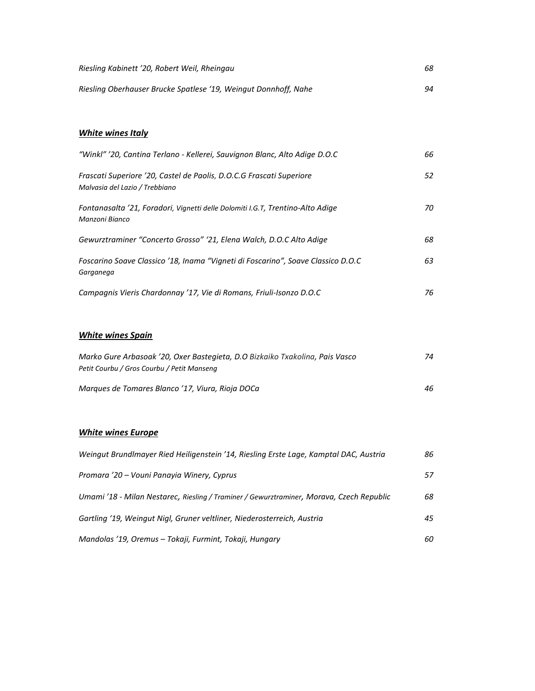| Riesling Kabinett '20, Robert Weil, Rheingau                    | 68 |
|-----------------------------------------------------------------|----|
| Riesling Oberhauser Brucke Spatlese '19, Weingut Donnhoff, Nahe | 94 |

## *White wines Italy*

| "Winkl" '20, Cantina Terlano - Kellerei, Sauvignon Blanc, Alto Adige D.O.C                             | 66 |
|--------------------------------------------------------------------------------------------------------|----|
| Frascati Superiore '20, Castel de Paolis, D.O.C.G Frascati Superiore<br>Malvasia del Lazio / Trebbiano | 52 |
| Fontanasalta '21, Foradori, Vignetti delle Dolomiti I.G.T, Trentino-Alto Adige<br>Manzoni Bianco       | 70 |
| Gewurztraminer "Concerto Grosso" '21, Elena Walch, D.O.C Alto Adige                                    | 68 |
| Foscarino Soave Classico '18, Inama "Vigneti di Foscarino", Soave Classico D.O.C<br>Garganega          | 63 |
| Campagnis Vieris Chardonnay '17, Vie di Romans, Friuli-Isonzo D.O.C                                    | 76 |

#### *White wines Spain*

| Marko Gure Arbasoak '20, Oxer Bastegieta, D.O Bizkaiko Txakolina, Pais Vasco | 74 |
|------------------------------------------------------------------------------|----|
| Petit Courbu / Gros Courbu / Petit Manseng                                   |    |
|                                                                              |    |
| Marques de Tomares Blanco '17, Viura, Rioja DOCa                             | 46 |

# *White wines Europe*

| Weingut Brundlmayer Ried Heiligenstein '14, Riesling Erste Lage, Kamptal DAC, Austria    | 86  |
|------------------------------------------------------------------------------------------|-----|
| Promara '20 – Vouni Panayia Winery, Cyprus                                               | 57. |
| Umami '18 - Milan Nestarec, Riesling / Traminer / Gewurztraminer, Morava, Czech Republic | 68  |
| Gartling '19, Weingut Nigl, Gruner veltliner, Niederosterreich, Austria                  | 45  |
| Mandolas '19, Oremus - Tokaji, Furmint, Tokaji, Hungary                                  | 60  |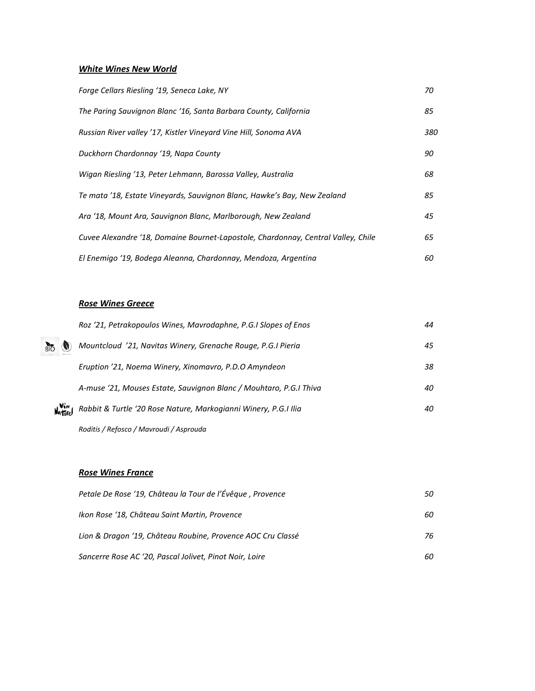## *White Wines New World*

| Forge Cellars Riesling '19, Seneca Lake, NY                                       | 70  |
|-----------------------------------------------------------------------------------|-----|
| The Paring Sauvignon Blanc '16, Santa Barbara County, California                  | 85  |
| Russian River valley '17, Kistler Vineyard Vine Hill, Sonoma AVA                  | 380 |
| Duckhorn Chardonnay '19, Napa County                                              | 90  |
| Wigan Riesling '13, Peter Lehmann, Barossa Valley, Australia                      | 68  |
| Te mata '18, Estate Vineyards, Sauvignon Blanc, Hawke's Bay, New Zealand          | 85  |
| Ara '18, Mount Ara, Sauvignon Blanc, Marlborough, New Zealand                     | 45  |
| Cuvee Alexandre '18, Domaine Bournet-Lapostole, Chardonnay, Central Valley, Chile | 65  |
| El Enemigo '19, Bodega Aleanna, Chardonnay, Mendoza, Argentina                    | 60  |

### *Rose Wines Greece*

|                 | Roz '21, Petrakopoulos Wines, Mavrodaphne, P.G.I Slopes of Enos    | 44 |
|-----------------|--------------------------------------------------------------------|----|
| $B\overline{O}$ | Mountcloud '21, Navitas Winery, Grenache Rouge, P.G.I Pieria       | 45 |
|                 | Eruption '21, Noema Winery, Xinomavro, P.D.O Amyndeon              | 38 |
|                 | A-muse '21, Mouses Estate, Sauvignon Blanc / Mouhtaro, P.G.I Thiva | 40 |
|                 | Rabbit & Turtle '20 Rose Nature, Markogianni Winery, P.G.I Ilia    | 40 |
|                 | Roditis / Refosco / Mavroudi / Asprouda                            |    |

### *Rose Wines France*

| Petale De Rose '19, Château la Tour de l'Évêque, Provence   | 50 |
|-------------------------------------------------------------|----|
| Ikon Rose '18, Château Saint Martin, Provence               | 60 |
| Lion & Dragon '19, Château Roubine, Provence AOC Cru Classé | 76 |
| Sancerre Rose AC '20, Pascal Jolivet, Pinot Noir, Loire     | 60 |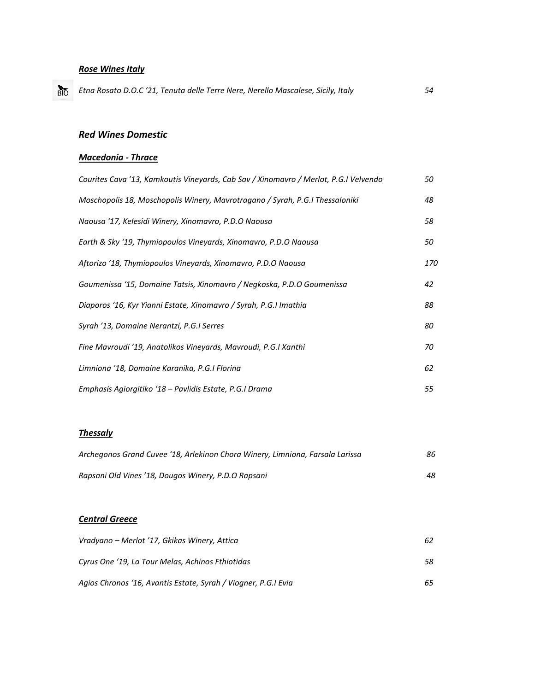## *Rose Wines Italy*

*Etna Rosato D.O.C '21, Tenuta delle Terre Nere, Nerello Mascalese, Sicily, Italy 54*

#### *Red Wines Domestic*

#### *Macedonia - Thrace*

| Courites Cava '13, Kamkoutis Vineyards, Cab Sav / Xinomavro / Merlot, P.G.I Velvendo | 50  |
|--------------------------------------------------------------------------------------|-----|
| Moschopolis 18, Moschopolis Winery, Mavrotragano / Syrah, P.G.I Thessaloniki         | 48  |
| Naousa '17, Kelesidi Winery, Xinomavro, P.D.O Naousa                                 | 58  |
| Earth & Sky '19, Thymiopoulos Vineyards, Xinomavro, P.D.O Naousa                     | 50  |
| Aftorizo '18, Thymiopoulos Vineyards, Xinomavro, P.D.O Naousa                        | 170 |
| Goumenissa '15, Domaine Tatsis, Xinomavro / Negkoska, P.D.O Goumenissa               | 42  |
| Diaporos '16, Kyr Yianni Estate, Xinomavro / Syrah, P.G.I Imathia                    | 88  |
| Syrah '13, Domaine Nerantzi, P.G.I Serres                                            | 80  |
| Fine Mavroudi '19, Anatolikos Vineyards, Mavroudi, P.G.I Xanthi                      | 70  |
| Limniona '18, Domaine Karanika, P.G.I Florina                                        | 62  |
| Emphasis Agiorgitiko '18 – Pavlidis Estate, P.G.I Drama                              | 55  |

## *Thessaly*

| Archegonos Grand Cuvee '18, Arlekinon Chora Winery, Limniona, Farsala Larissa | 86 |
|-------------------------------------------------------------------------------|----|
| Rapsani Old Vines '18, Dougos Winery, P.D.O Rapsani                           | 48 |

## *Central Greece*

| Vradyano – Merlot '17, Gkikas Winery, Attica                   | 62  |
|----------------------------------------------------------------|-----|
| Cyrus One '19, La Tour Melas, Achinos Fthiotidas               | 58. |
| Agios Chronos '16, Avantis Estate, Syrah / Viogner, P.G.I Evia | 65  |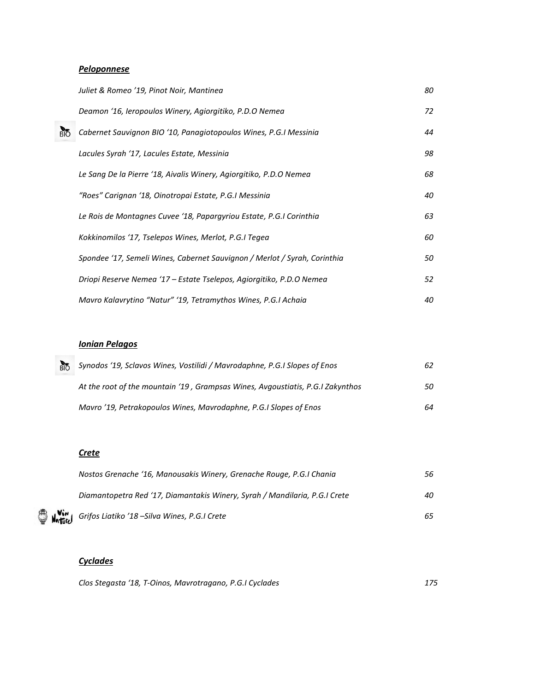## *Peloponnese*

|            | Juliet & Romeo '19, Pinot Noir, Mantinea                                  | 80 |
|------------|---------------------------------------------------------------------------|----|
|            | Deamon '16, Ieropoulos Winery, Agiorgitiko, P.D.O Nemea                   | 72 |
| <b>BIO</b> | Cabernet Sauvignon BIO '10, Panagiotopoulos Wines, P.G.I Messinia         | 44 |
|            | Lacules Syrah '17, Lacules Estate, Messinia                               | 98 |
|            | Le Sang De la Pierre '18, Aivalis Winery, Agiorgitiko, P.D.O Nemea        | 68 |
|            | "Roes" Carignan '18, Oinotropai Estate, P.G.I Messinia                    | 40 |
|            | Le Rois de Montagnes Cuvee '18, Papargyriou Estate, P.G.I Corinthia       | 63 |
|            | Kokkinomilos '17, Tselepos Wines, Merlot, P.G.I Tegea                     | 60 |
|            | Spondee '17, Semeli Wines, Cabernet Sauvignon / Merlot / Syrah, Corinthia | 50 |
|            | Driopi Reserve Nemea '17 – Estate Tselepos, Agiorgitiko, P.D.O Nemea      | 52 |
|            | Mavro Kalavrytino "Natur" '19, Tetramythos Wines, P.G.I Achaia            | 40 |

## *Ionian Pelagos*

| <b>BIO</b> | Synodos '19, Sclavos Wines, Vostilidi / Mavrodaphne, P.G.I Slopes of Enos      | 62 |
|------------|--------------------------------------------------------------------------------|----|
|            | At the root of the mountain '19, Grampsas Wines, Avgoustiatis, P.G.I Zakynthos | 50 |
|            | Mayro '19, Petrakopoulos Wines, Mayrodaphne, P.G.I Slopes of Enos              | 64 |

## *Crete*

Ô

| Nostos Grenache '16, Manousakis Winery, Grenache Rouge, P.G.I Chania       | 56. |
|----------------------------------------------------------------------------|-----|
| Diamantopetra Red '17, Diamantakis Winery, Syrah / Mandilaria, P.G.I Crete | 40  |
| $\mathsf{M}_{\mathsf{diff}}$ Grifos Liatiko '18 – Silva Wines, P.G.I Crete | 65  |

## *Cyclades*

*Clos Stegasta '18, T-Oinos, Mavrotragano, P.G.I Cyclades 175*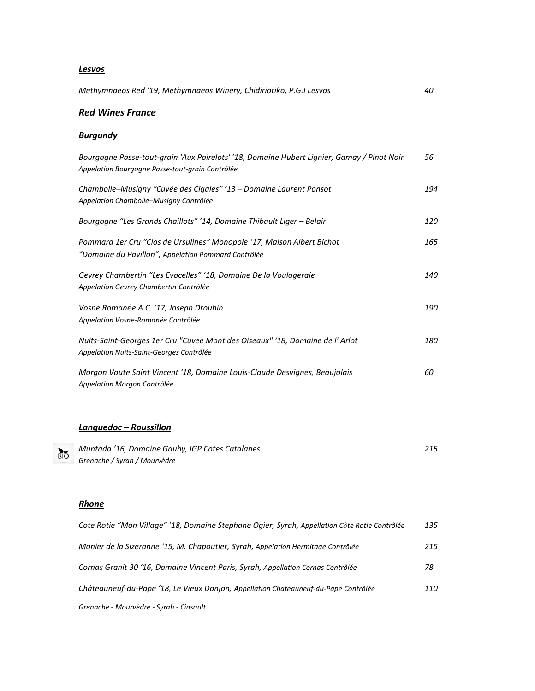#### *Lesvos*

| Methymnaeos Red '19, Methymnaeos Winery, Chidiriotiko, P.G.I Lesvos                                                                           | 40 |
|-----------------------------------------------------------------------------------------------------------------------------------------------|----|
| <b>Red Wines France</b>                                                                                                                       |    |
| <b>Burgundy</b>                                                                                                                               |    |
| Bourgogne Passe-tout-grain 'Aux Poirelots' '18, Domaine Hubert Lignier, Gamay / Pinot Noir<br>Appelation Bourgogne Passe-tout-grain Contrôlée | 56 |

| Chambolle-Musigny "Cuvée des Cigales" '13 - Domaine Laurent Ponsot<br>Appelation Chambolle-Musigny Contrôlée                  | 194 |
|-------------------------------------------------------------------------------------------------------------------------------|-----|
| Bourgogne "Les Grands Chaillots" '14, Domaine Thibault Liger - Belair                                                         | 120 |
| Pommard 1er Cru "Clos de Ursulines" Monopole '17, Maison Albert Bichot<br>"Domaine du Pavillon", Appelation Pommard Contrôlée | 165 |
| Gevrey Chambertin "Les Evocelles" '18, Domaine De la Voulageraie<br>Appelation Gevrey Chambertin Contrôlée                    | 140 |
| Vosne Romanée A.C. '17, Joseph Drouhin<br>Appelation Vosne-Romanée Contrôlée                                                  | 190 |
| Nuits-Saint-Georges 1er Cru "Cuvee Mont des Oiseaux" '18, Domaine de l'Arlot<br>Appelation Nuits-Saint-Georges Contrôlée      | 180 |
| Morgon Voute Saint Vincent '18, Domaine Louis-Claude Desvignes, Beaujolais<br>Appelation Morgon Contrôlée                     | 60  |
|                                                                                                                               |     |

# *Languedoc – Roussillon*

| Muntada '16, Domaine Gauby, IGP Cotes Catalanes | 215 |
|-------------------------------------------------|-----|
| Grenache / Syrah / Mourvèdre                    |     |

## *Rhone*

 $rac{1}{\sqrt{2}}$ 

| Cote Rotie "Mon Village" '18, Domaine Stephane Ogier, Syrah, Appellation Côte Rotie Contrôlée | 135 |
|-----------------------------------------------------------------------------------------------|-----|
| Monier de la Sizeranne '15, M. Chapoutier, Syrah, Appelation Hermitage Contrôlée              | 215 |
| Cornas Granit 30 '16, Domaine Vincent Paris, Syrah, Appellation Cornas Contrôlée              | 78  |
| Châteauneuf-du-Pape '18, Le Vieux Donjon, Appellation Chateauneuf-du-Pape Contrôlée           | 110 |
| Grenache - Mourvèdre - Syrah - Cinsault                                                       |     |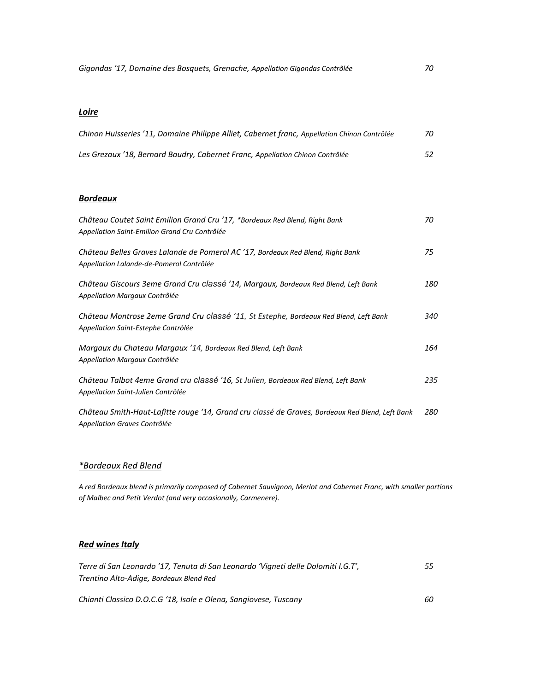#### *Loire*

| Chinon Huisseries '11, Domaine Philippe Alliet, Cabernet franc, Appellation Chinon Contrôlée | 70 |
|----------------------------------------------------------------------------------------------|----|
| Les Grezaux '18, Bernard Baudry, Cabernet Franc, Appellation Chinon Contrôlée                | 52 |

#### *Bordeaux*

| Château Coutet Saint Emilion Grand Cru '17, *Bordeaux Red Blend, Right Bank<br>Appellation Saint-Emilion Grand Cru Contrôlée    | 70  |
|---------------------------------------------------------------------------------------------------------------------------------|-----|
| Château Belles Graves Lalande de Pomerol AC '17, Bordeaux Red Blend, Right Bank<br>Appellation Lalande-de-Pomerol Contrôlée     | 75  |
| Château Giscours 3eme Grand Cru classé '14, Margaux, Bordeaux Red Blend, Left Bank<br>Appellation Margaux Contrôlée             | 180 |
| Château Montrose 2eme Grand Cru classé '11, St Estephe, Bordeaux Red Blend, Left Bank<br>Appellation Saint-Estephe Contrôlée    | 340 |
| Margaux du Chateau Margaux '14, Bordeaux Red Blend, Left Bank<br>Appellation Margaux Contrôlée                                  | 164 |
| Château Talbot 4eme Grand cru classé '16, St Julien, Bordeaux Red Blend, Left Bank<br>Appellation Saint-Julien Contrôlée        | 235 |
| Château Smith-Haut-Lafitte rouge '14, Grand cru classé de Graves, Bordeaux Red Blend, Left Bank<br>Appellation Graves Contrôlée | 280 |

#### *\*Bordeaux Red Blend*

*A red Bordeaux blend is primarily composed of Cabernet Sauvignon, Merlot and Cabernet Franc, with smaller portions of Malbec and Petit Verdot (and very occasionally, Carmenere).*

### *Red wines Italy*

| Terre di San Leonardo '17, Tenuta di San Leonardo 'Vigneti delle Dolomiti I.G.T', | 55 |
|-----------------------------------------------------------------------------------|----|
| Trentino Alto-Adige, Bordeaux Blend Red                                           |    |
| Chianti Classico D.O.C.G '18, Isole e Olena, Sangiovese, Tuscany                  | 60 |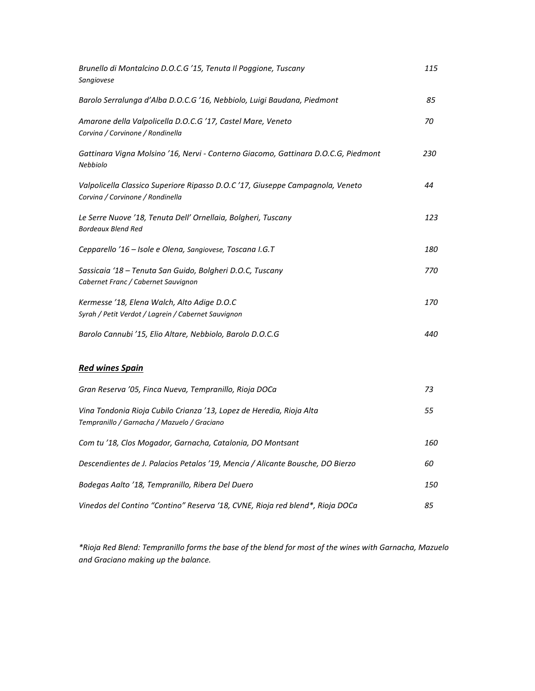| Brunello di Montalcino D.O.C.G'15, Tenuta Il Poggione, Tuscany<br>Sangiovese                                        | 115 |
|---------------------------------------------------------------------------------------------------------------------|-----|
| Barolo Serralunga d'Alba D.O.C.G '16, Nebbiolo, Luigi Baudana, Piedmont                                             | 85  |
| Amarone della Valpolicella D.O.C.G'17, Castel Mare, Veneto<br>Corvina / Corvinone / Rondinella                      | 70  |
| Gattinara Vigna Molsino '16, Nervi - Conterno Giacomo, Gattinara D.O.C.G, Piedmont<br>Nebbiolo                      | 230 |
| Valpolicella Classico Superiore Ripasso D.O.C'17, Giuseppe Campagnola, Veneto<br>Corvina / Corvinone / Rondinella   | 44  |
| Le Serre Nuove '18, Tenuta Dell' Ornellaia, Bolgheri, Tuscany<br><b>Bordeaux Blend Red</b>                          | 123 |
| Cepparello '16 - Isole e Olena, Sangiovese, Toscana I.G.T                                                           | 180 |
| Sassicaia '18 - Tenuta San Guido, Bolgheri D.O.C, Tuscany<br>Cabernet Franc / Cabernet Sauvignon                    | 770 |
| Kermesse '18, Elena Walch, Alto Adige D.O.C<br>Syrah / Petit Verdot / Lagrein / Cabernet Sauvignon                  | 170 |
| Barolo Cannubi '15, Elio Altare, Nebbiolo, Barolo D.O.C.G                                                           | 440 |
| <b>Red wines Spain</b>                                                                                              |     |
| Gran Reserva '05, Finca Nueva, Tempranillo, Rioja DOCa                                                              | 73  |
| Vina Tondonia Rioja Cubilo Crianza '13, Lopez de Heredia, Rioja Alta<br>Tempranillo / Garnacha / Mazuelo / Graciano | 55  |
| Com tu '18, Clos Mogador, Garnacha, Catalonia, DO Montsant                                                          | 160 |
| Descendientes de J. Palacios Petalos '19, Mencia / Alicante Bousche, DO Bierzo                                      | 60  |
| Bodegas Aalto '18, Tempranillo, Ribera Del Duero                                                                    | 150 |
| Vinedos del Contino "Contino" Reserva '18, CVNE, Rioja red blend*, Rioja DOCa                                       | 85  |

*\*Rioja Red Blend: Tempranillo forms the base of the blend for most of the wines with Garnacha, Mazuelo and Graciano making up the balance.*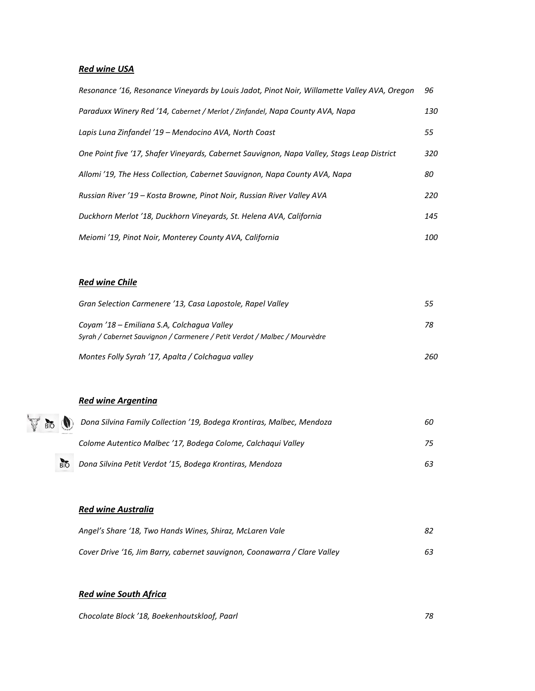## *Red wine USA*

| Resonance '16, Resonance Vineyards by Louis Jadot, Pinot Noir, Willamette Valley AVA, Oregon | 96         |
|----------------------------------------------------------------------------------------------|------------|
| Paraduxx Winery Red '14, Cabernet / Merlot / Zinfandel, Napa County AVA, Napa                | 130        |
| Lapis Luna Zinfandel '19 – Mendocino AVA, North Coast                                        | 55         |
| One Point five '17, Shafer Vineyards, Cabernet Sauvianon, Napa Valley, Stags Leap District   | 320        |
| Allomi '19, The Hess Collection, Cabernet Sauvignon, Napa County AVA, Napa                   | 80         |
| Russian River '19 - Kosta Browne, Pinot Noir, Russian River Valley AVA                       | 220        |
| Duckhorn Merlot '18, Duckhorn Vineyards, St. Helena AVA, California                          | 145        |
| Meiomi '19, Pinot Noir, Monterey County AVA, California                                      | <i>100</i> |

#### *Red wine Chile*

| Gran Selection Carmenere '13, Casa Lapostole, Rapel Valley                 | 55  |
|----------------------------------------------------------------------------|-----|
| Coyam '18 – Emiliana S.A, Colchagua Valley                                 | 78  |
| Syrah / Cabernet Sauvignon / Carmenere / Petit Verdot / Malbec / Mourvèdre |     |
| Montes Folly Syrah '17, Apalta / Colchagua valley                          | 260 |

## *Red wine Argentina*

| $\bullet$ of $\nabla$ | Dona Silvina Family Collection '19, Bodega Krontiras, Malbec, Mendoza | 60 |
|-----------------------|-----------------------------------------------------------------------|----|
|                       | Colome Autentico Malbec '17, Bodega Colome, Calchaqui Valley          | 75 |
| BIO                   | Dona Silvina Petit Verdot '15, Bodega Krontiras, Mendoza              | 63 |

### *Red wine Australia*

| Angel's Share '18, Two Hands Wines, Shiraz, McLaren Vale                  | 82 |
|---------------------------------------------------------------------------|----|
| Cover Drive '16, Jim Barry, cabernet sauvignon, Coonawarra / Clare Valley | 63 |

### *Red wine South Africa*

*Chocolate Block '18, Boekenhoutskloof, Paarl 78*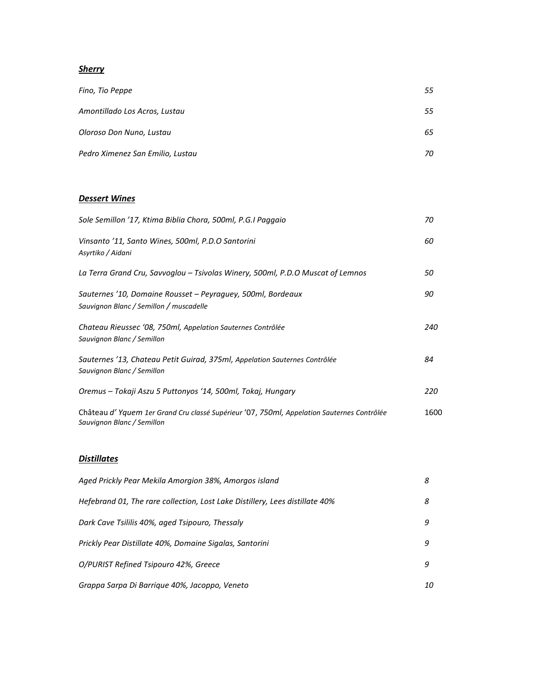## *Sherry*

| Fino, Tio Peppe                  | 55 |
|----------------------------------|----|
| Amontillado Los Acros, Lustau    | 55 |
| Oloroso Don Nuno, Lustau         | 65 |
| Pedro Ximenez San Emilio, Lustau | 70 |

## *Dessert Wines*

| Sole Semillon '17, Ktima Biblia Chora, 500ml, P.G.I Paggaio                                                              | 70   |
|--------------------------------------------------------------------------------------------------------------------------|------|
| Vinsanto '11, Santo Wines, 500ml, P.D.O Santorini<br>Asyrtiko / Aidani                                                   | 60   |
| La Terra Grand Cru, Savvoglou – Tsivolas Winery, 500ml, P.D.O Muscat of Lemnos                                           | 50   |
| Sauternes '10, Domaine Rousset - Peyraguey, 500ml, Bordeaux<br>Sauvignon Blanc / Semillon / muscadelle                   | 90   |
| Chateau Rieussec '08, 750ml, Appelation Sauternes Contrôlée<br>Sauvignon Blanc / Semillon                                | 240  |
| Sauternes '13, Chateau Petit Guirad, 375ml, Appelation Sauternes Contrôlée<br>Sauvignon Blanc / Semillon                 | 84   |
| Oremus – Tokaji Aszu 5 Puttonyos '14, 500ml, Tokaj, Hungary                                                              | 220  |
| Château d' Yquem 1er Grand Cru classé Supérieur '07, 750ml, Appelation Sauternes Contrôlée<br>Sauvignon Blanc / Semillon | 1600 |

## *Distillates*

| Aged Prickly Pear Mekila Amorgion 38%, Amorgos island                        | 8  |
|------------------------------------------------------------------------------|----|
| Hefebrand 01, The rare collection, Lost Lake Distillery, Lees distillate 40% | 8  |
| Dark Cave Tsililis 40%, aged Tsipouro, Thessaly                              | 9  |
| Prickly Pear Distillate 40%, Domaine Sigalas, Santorini                      | 9  |
| O/PURIST Refined Tsipouro 42%, Greece                                        | g  |
| Grappa Sarpa Di Barrique 40%, Jacoppo, Veneto                                | 10 |